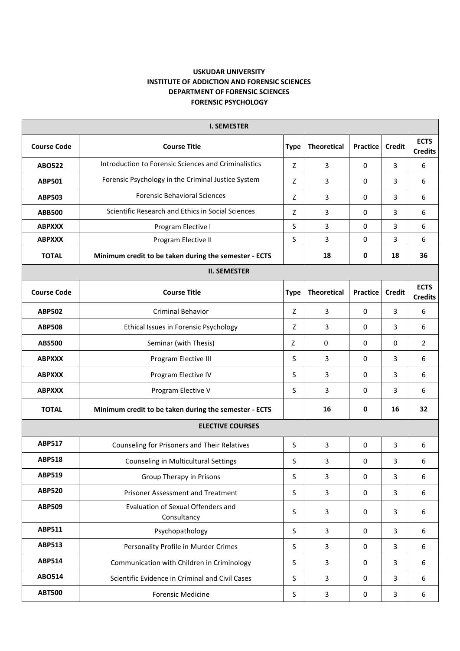## **USKUDAR UNIVERSITY INSTITUTE OF ADDICTION AND FORENSIC SCIENCES DEPARTMENT OF FORENSIC SCIENCES FORENSIC PSYCHOLOGY**

| <b>Course Code</b><br><b>Course Title</b><br><b>Type</b><br><b>Theoretical</b><br>Practice<br><b>Credit</b><br>Introduction to Forensic Sciences and Criminalistics<br>3<br><b>ABO522</b><br>Z<br>3<br>$\mathbf 0$<br>Forensic Psychology in the Criminal Justice System<br><b>ABP501</b><br>3<br>3<br>Z<br>$\mathbf 0$<br><b>Forensic Behavioral Sciences</b><br>3<br><b>ABP503</b><br>Z<br>3<br>0<br>Scientific Research and Ethics in Social Sciences<br>Z<br><b>ABB500</b><br>3<br>0<br>3<br><b>ABPXXX</b><br>S<br>3<br>$\mathbf 0$<br>3<br>Program Elective I | <b>ECTS</b><br><b>Credits</b><br>6<br>6<br>6<br>6<br>6 |  |  |  |  |  |  |
|--------------------------------------------------------------------------------------------------------------------------------------------------------------------------------------------------------------------------------------------------------------------------------------------------------------------------------------------------------------------------------------------------------------------------------------------------------------------------------------------------------------------------------------------------------------------|--------------------------------------------------------|--|--|--|--|--|--|
|                                                                                                                                                                                                                                                                                                                                                                                                                                                                                                                                                                    |                                                        |  |  |  |  |  |  |
|                                                                                                                                                                                                                                                                                                                                                                                                                                                                                                                                                                    |                                                        |  |  |  |  |  |  |
|                                                                                                                                                                                                                                                                                                                                                                                                                                                                                                                                                                    |                                                        |  |  |  |  |  |  |
|                                                                                                                                                                                                                                                                                                                                                                                                                                                                                                                                                                    |                                                        |  |  |  |  |  |  |
|                                                                                                                                                                                                                                                                                                                                                                                                                                                                                                                                                                    |                                                        |  |  |  |  |  |  |
|                                                                                                                                                                                                                                                                                                                                                                                                                                                                                                                                                                    |                                                        |  |  |  |  |  |  |
| S<br>3<br>$\overline{3}$<br>0<br><b>ABPXXX</b><br>Program Elective II                                                                                                                                                                                                                                                                                                                                                                                                                                                                                              | 6                                                      |  |  |  |  |  |  |
| <b>TOTAL</b><br>18<br>$\mathbf 0$<br>18<br>Minimum credit to be taken during the semester - ECTS                                                                                                                                                                                                                                                                                                                                                                                                                                                                   | 36                                                     |  |  |  |  |  |  |
| <b>II. SEMESTER</b>                                                                                                                                                                                                                                                                                                                                                                                                                                                                                                                                                |                                                        |  |  |  |  |  |  |
| <b>Course Code</b><br><b>Course Title</b><br><b>Theoretical</b><br>Practice<br><b>Credit</b><br><b>Type</b>                                                                                                                                                                                                                                                                                                                                                                                                                                                        | <b>ECTS</b><br><b>Credits</b>                          |  |  |  |  |  |  |
| <b>ABP502</b><br><b>Criminal Behavior</b><br>3<br>0<br>3<br>Z                                                                                                                                                                                                                                                                                                                                                                                                                                                                                                      | 6                                                      |  |  |  |  |  |  |
| 3<br>3<br>Ethical Issues in Forensic Psychology<br>Z<br>0<br><b>ABP508</b>                                                                                                                                                                                                                                                                                                                                                                                                                                                                                         | 6                                                      |  |  |  |  |  |  |
| 0<br>0<br>0<br><b>ABS500</b><br>Seminar (with Thesis)<br>Z                                                                                                                                                                                                                                                                                                                                                                                                                                                                                                         | $\overline{2}$                                         |  |  |  |  |  |  |
| S<br>3<br>0<br>3<br><b>ABPXXX</b><br>Program Elective III                                                                                                                                                                                                                                                                                                                                                                                                                                                                                                          | 6                                                      |  |  |  |  |  |  |
| S<br>3<br>3<br><b>ABPXXX</b><br>Program Elective IV<br>0                                                                                                                                                                                                                                                                                                                                                                                                                                                                                                           | 6                                                      |  |  |  |  |  |  |
| Program Elective V<br>3<br>3<br><b>ABPXXX</b><br>S<br>$\mathbf 0$                                                                                                                                                                                                                                                                                                                                                                                                                                                                                                  | 6                                                      |  |  |  |  |  |  |
| $\mathbf 0$<br>16<br>16<br><b>TOTAL</b><br>Minimum credit to be taken during the semester - ECTS                                                                                                                                                                                                                                                                                                                                                                                                                                                                   | 32                                                     |  |  |  |  |  |  |
| <b>ELECTIVE COURSES</b>                                                                                                                                                                                                                                                                                                                                                                                                                                                                                                                                            |                                                        |  |  |  |  |  |  |
| <b>ABP517</b><br>S<br>3<br>3<br>Counseling for Prisoners and Their Relatives<br>$\mathbf 0$                                                                                                                                                                                                                                                                                                                                                                                                                                                                        | 6                                                      |  |  |  |  |  |  |
| <b>ABP518</b><br>3<br>3<br>Counseling in Multicultural Settings<br>S<br>0                                                                                                                                                                                                                                                                                                                                                                                                                                                                                          | 6                                                      |  |  |  |  |  |  |
| <b>ABP519</b><br>Group Therapy in Prisons<br>$\sf S$<br>3<br>3<br>$\mathbf 0$                                                                                                                                                                                                                                                                                                                                                                                                                                                                                      | 6                                                      |  |  |  |  |  |  |
| <b>ABP520</b><br>Prisoner Assessment and Treatment<br>$\overline{3}$<br>S<br>3<br>0                                                                                                                                                                                                                                                                                                                                                                                                                                                                                | 6                                                      |  |  |  |  |  |  |
| Evaluation of Sexual Offenders and<br><b>ABP509</b><br>S<br>3<br>$\mathbf 0$<br>3<br>Consultancy                                                                                                                                                                                                                                                                                                                                                                                                                                                                   | 6                                                      |  |  |  |  |  |  |
| <b>ABP511</b><br>S<br>$\overline{3}$<br>Psychopathology<br>3<br>0                                                                                                                                                                                                                                                                                                                                                                                                                                                                                                  | 6                                                      |  |  |  |  |  |  |
| <b>ABP513</b><br>Personality Profile in Murder Crimes<br>S<br>3<br>3<br>$\mathbf 0$                                                                                                                                                                                                                                                                                                                                                                                                                                                                                | 6                                                      |  |  |  |  |  |  |
| <b>ABP514</b><br>S<br>$\mathbf{3}$<br>3<br>Communication with Children in Criminology<br>$\mathbf 0$                                                                                                                                                                                                                                                                                                                                                                                                                                                               | 6                                                      |  |  |  |  |  |  |
| <b>ABO514</b><br>Scientific Evidence in Criminal and Civil Cases<br>S<br>3<br>3<br>$\mathbf 0$                                                                                                                                                                                                                                                                                                                                                                                                                                                                     | 6                                                      |  |  |  |  |  |  |
| <b>ABT500</b><br>3<br>3<br><b>Forensic Medicine</b><br>S<br>0                                                                                                                                                                                                                                                                                                                                                                                                                                                                                                      | 6                                                      |  |  |  |  |  |  |